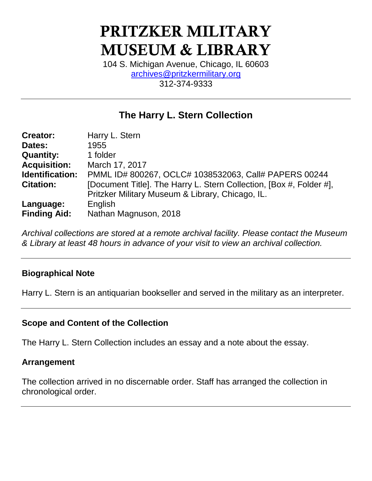# **PRITZKER MILITARY MUSEUM & LIBRARY**

104 S. Michigan Avenue, Chicago, IL 60603 [archives@pritzkermilitary.org](mailto:archives@pritzkermilitary.org) 312-374-9333

## **The Harry L. Stern Collection**

| <b>Creator:</b>     | Harry L. Stern                                                      |  |  |  |
|---------------------|---------------------------------------------------------------------|--|--|--|
| Dates:              | 1955                                                                |  |  |  |
| <b>Quantity:</b>    | 1 folder                                                            |  |  |  |
| <b>Acquisition:</b> | March 17, 2017                                                      |  |  |  |
| Identification:     | PMML ID# 800267, OCLC# 1038532063, Call# PAPERS 00244               |  |  |  |
| <b>Citation:</b>    | [Document Title]. The Harry L. Stern Collection, [Box #, Folder #], |  |  |  |
|                     | Pritzker Military Museum & Library, Chicago, IL.                    |  |  |  |
| Language:           | English                                                             |  |  |  |
| <b>Finding Aid:</b> | Nathan Magnuson, 2018                                               |  |  |  |

*Archival collections are stored at a remote archival facility. Please contact the Museum & Library at least 48 hours in advance of your visit to view an archival collection.*

## **Biographical Note**

Harry L. Stern is an antiquarian bookseller and served in the military as an interpreter.

## **Scope and Content of the Collection**

The Harry L. Stern Collection includes an essay and a note about the essay.

#### **Arrangement**

The collection arrived in no discernable order. Staff has arranged the collection in chronological order.